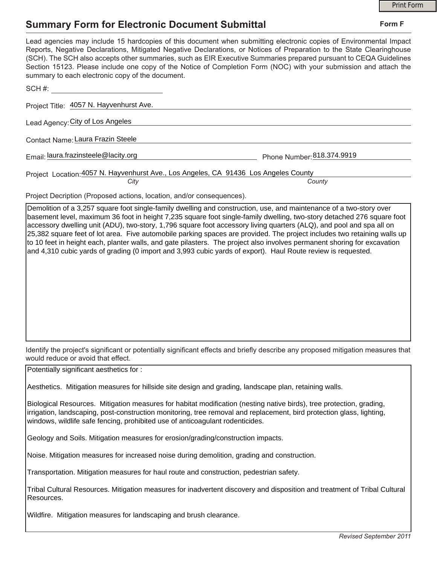## **Summary Form for Electronic Document Submittal**

|                                                                                                                                                                                                                                                                                                                                                                                                                                                                                                                                           | <b>Print Form</b> |
|-------------------------------------------------------------------------------------------------------------------------------------------------------------------------------------------------------------------------------------------------------------------------------------------------------------------------------------------------------------------------------------------------------------------------------------------------------------------------------------------------------------------------------------------|-------------------|
| <b>Summary Form for Electronic Document Submittal</b>                                                                                                                                                                                                                                                                                                                                                                                                                                                                                     | Form F            |
| Lead agencies may include 15 hardcopies of this document when submitting electronic copies of Environmental Impact<br>Reports, Negative Declarations, Mitigated Negative Declarations, or Notices of Preparation to the State Clearinghouse<br>(SCH). The SCH also accepts other summaries, such as EIR Executive Summaries prepared pursuant to CEQA Guidelines<br>Section 15123. Please include one copy of the Notice of Completion Form (NOC) with your submission and attach the<br>summary to each electronic copy of the document. |                   |
| SCH#:                                                                                                                                                                                                                                                                                                                                                                                                                                                                                                                                     |                   |
| Project Title: 4057 N. Hayvenhurst Ave.                                                                                                                                                                                                                                                                                                                                                                                                                                                                                                   |                   |
| Lead Agency: City of Los Angeles                                                                                                                                                                                                                                                                                                                                                                                                                                                                                                          |                   |
| Contact Name: Laura Frazin Steele                                                                                                                                                                                                                                                                                                                                                                                                                                                                                                         |                   |
| Email: laura.frazinsteele@lacity.org<br>Phone Number: 818.374.9919                                                                                                                                                                                                                                                                                                                                                                                                                                                                        |                   |
| Project Location: 4057 N. Hayvenhurst Ave., Los Angeles, CA 91436 Los Angeles County                                                                                                                                                                                                                                                                                                                                                                                                                                                      |                   |
| City<br>County                                                                                                                                                                                                                                                                                                                                                                                                                                                                                                                            |                   |
| Project Decription (Proposed actions, location, and/or consequences).                                                                                                                                                                                                                                                                                                                                                                                                                                                                     |                   |
| Demolition of a 3,257 square foot single-family dwelling and construction, use, and maintenance of a two-story over<br>$\blacksquare$ , and it is the contract of the terms in the second to the second terms of the second terms of the second terms of the second terms of the second terms of the second terms of the second terms of the second terms of                                                                                                                                                                              |                   |

basement level, maximum 36 foot in height 7,235 square foot single-family dwelling, two-story detached 276 square foot accessory dwelling unit (ADU), two-story, 1,796 square foot accessory living quarters (ALQ), and pool and spa all on 25,382 square feet of lot area. Five automobile parking spaces are provided. The project includes two retaining walls up to 10 feet in height each, planter walls, and gate pilasters. The project also involves permanent shoring for excavation and 4,310 cubic yards of grading (0 import and 3,993 cubic yards of export). Haul Route review is requested.

Identify the project's significant or potentially significant effects and briefly describe any proposed mitigation measures that would reduce or avoid that effect.

Potentially significant aesthetics for :

Aesthetics. Mitigation measures for hillside site design and grading, landscape plan, retaining walls.

Biological Resources. Mitigation measures for habitat modification (nesting native birds), tree protection, grading, irrigation, landscaping, post-construction monitoring, tree removal and replacement, bird protection glass, lighting, windows, wildlife safe fencing, prohibited use of anticoagulant rodenticides.

Geology and Soils. Mitigation measures for erosion/grading/construction impacts.

Noise. Mitigation measures for increased noise during demolition, grading and construction.

Transportation. Mitigation measures for haul route and construction, pedestrian safety.

Tribal Cultural Resources. Mitigation measures for inadvertent discovery and disposition and treatment of Tribal Cultural Resources.

Wildfire. Mitigation measures for landscaping and brush clearance.